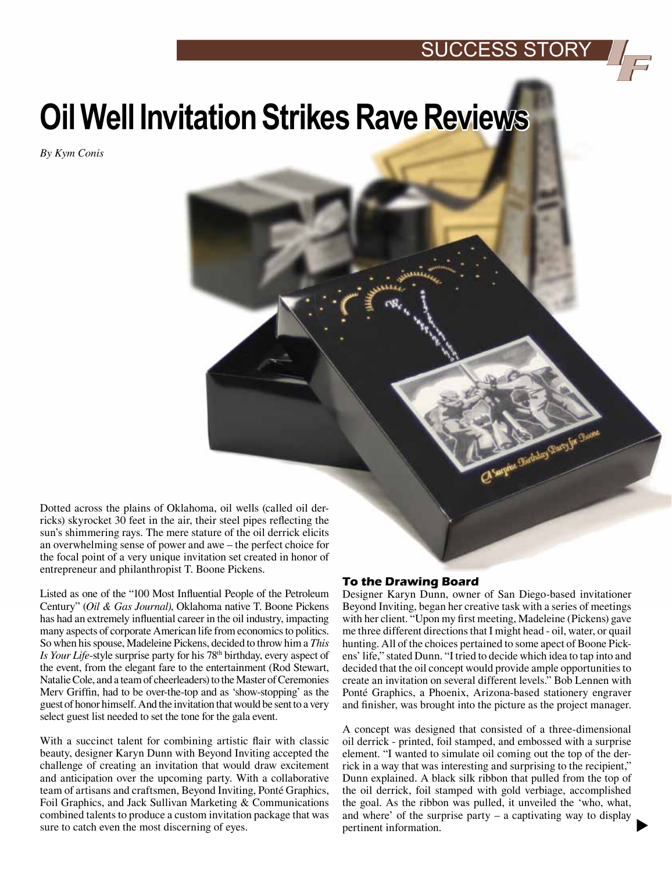# **Oil Well Invitation Strikes Rave Reviews**

*By Kym Conis*

Dotted across the plains of Oklahoma, oil wells (called oil derricks) skyrocket 30 feet in the air, their steel pipes reflecting the sun's shimmering rays. The mere stature of the oil derrick elicits an overwhelming sense of power and awe – the perfect choice for the focal point of a very unique invitation set created in honor of entrepreneur and philanthropist T. Boone Pickens.

Listed as one of the "100 Most Influential People of the Petroleum Century" (*Oil & Gas Journal)*, Oklahoma native T. Boone Pickens has had an extremely influential career in the oil industry, impacting many aspects of corporate American life from economics to politics. So when his spouse, Madeleine Pickens, decided to throw him a *This Is Your Life-style surprise party for his 78<sup>th</sup> birthday, every aspect of* the event, from the elegant fare to the entertainment (Rod Stewart, Natalie Cole, and a team of cheerleaders) to the Master of Ceremonies Merv Griffin, had to be over-the-top and as 'show-stopping' as the guest of honor himself. And the invitation that would be sent to a very select guest list needed to set the tone for the gala event.

With a succinct talent for combining artistic flair with classic beauty, designer Karyn Dunn with Beyond Inviting accepted the challenge of creating an invitation that would draw excitement and anticipation over the upcoming party. With a collaborative team of artisans and craftsmen, Beyond Inviting, Ponté Graphics, Foil Graphics, and Jack Sullivan Marketing & Communications combined talents to produce a custom invitation package that was sure to catch even the most discerning of eyes.

### **To the Drawing Board**

Designer Karyn Dunn, owner of San Diego-based invitationer Beyond Inviting, began her creative task with a series of meetings with her client. "Upon my first meeting, Madeleine (Pickens) gave me three different directions that I might head - oil, water, or quail hunting. All of the choices pertained to some apect of Boone Pickens' life," stated Dunn. "I tried to decide which idea to tap into and decided that the oil concept would provide ample opportunities to create an invitation on several different levels." Bob Lennen with Ponté Graphics, a Phoenix, Arizona-based stationery engraver and finisher, was brought into the picture as the project manager.

Cl'aupine Gardadoy Garry fw Gason

A concept was designed that consisted of a three-dimensional oil derrick - printed, foil stamped, and embossed with a surprise element. "I wanted to simulate oil coming out the top of the derrick in a way that was interesting and surprising to the recipient," Dunn explained. A black silk ribbon that pulled from the top of the oil derrick, foil stamped with gold verbiage, accomplished the goal. As the ribbon was pulled, it unveiled the 'who, what, and where' of the surprise party – a captivating way to display pertinent information.

 $\blacktriangleright$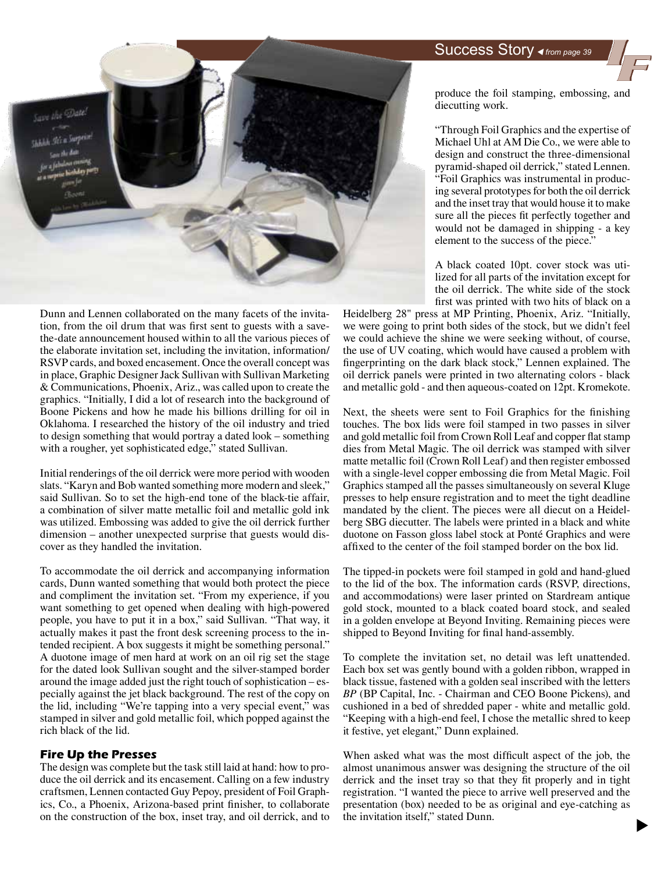# Success Story *from page 39*



Dunn and Lennen collaborated on the many facets of the invitation, from the oil drum that was first sent to guests with a savethe-date announcement housed within to all the various pieces of the elaborate invitation set, including the invitation, information/ RSVP cards, and boxed encasement. Once the overall concept was in place, Graphic Designer Jack Sullivan with Sullivan Marketing & Communications, Phoenix, Ariz., was called upon to create the graphics. "Initially, I did a lot of research into the background of Boone Pickens and how he made his billions drilling for oil in Oklahoma. I researched the history of the oil industry and tried to design something that would portray a dated look – something with a rougher, yet sophisticated edge," stated Sullivan.

Initial renderings of the oil derrick were more period with wooden slats. "Karyn and Bob wanted something more modern and sleek," said Sullivan. So to set the high-end tone of the black-tie affair, a combination of silver matte metallic foil and metallic gold ink was utilized. Embossing was added to give the oil derrick further dimension – another unexpected surprise that guests would discover as they handled the invitation.

To accommodate the oil derrick and accompanying information cards, Dunn wanted something that would both protect the piece and compliment the invitation set. "From my experience, if you want something to get opened when dealing with high-powered people, you have to put it in a box," said Sullivan. "That way, it actually makes it past the front desk screening process to the intended recipient. A box suggests it might be something personal." A duotone image of men hard at work on an oil rig set the stage for the dated look Sullivan sought and the silver-stamped border around the image added just the right touch of sophistication – especially against the jet black background. The rest of the copy on the lid, including "We're tapping into a very special event," was stamped in silver and gold metallic foil, which popped against the rich black of the lid.

### **Fire Up the Presses**

The design was complete but the task still laid at hand: how to produce the oil derrick and its encasement. Calling on a few industry craftsmen, Lennen contacted Guy Pepoy, president of Foil Graphics, Co., a Phoenix, Arizona-based print finisher, to collaborate on the construction of the box, inset tray, and oil derrick, and to produce the foil stamping, embossing, and diecutting work.

"Through Foil Graphics and the expertise of Michael Uhl at AM Die Co., we were able to design and construct the three-dimensional pyramid-shaped oil derrick," stated Lennen. "Foil Graphics was instrumental in producing several prototypes for both the oil derrick and the inset tray that would house it to make sure all the pieces fit perfectly together and would not be damaged in shipping - a key element to the success of the piece."

A black coated 10pt. cover stock was utilized for all parts of the invitation except for the oil derrick. The white side of the stock first was printed with two hits of black on a

Heidelberg 28" press at MP Printing, Phoenix, Ariz. "Initially, we were going to print both sides of the stock, but we didn't feel we could achieve the shine we were seeking without, of course, the use of UV coating, which would have caused a problem with fingerprinting on the dark black stock," Lennen explained. The oil derrick panels were printed in two alternating colors - black and metallic gold - and then aqueous-coated on 12pt. Kromekote.

Next, the sheets were sent to Foil Graphics for the finishing touches. The box lids were foil stamped in two passes in silver and gold metallic foil from Crown Roll Leaf and copper flat stamp dies from Metal Magic. The oil derrick was stamped with silver matte metallic foil (Crown Roll Leaf) and then register embossed with a single-level copper embossing die from Metal Magic. Foil Graphics stamped all the passes simultaneously on several Kluge presses to help ensure registration and to meet the tight deadline mandated by the client. The pieces were all diecut on a Heidelberg SBG diecutter. The labels were printed in a black and white duotone on Fasson gloss label stock at Ponté Graphics and were affixed to the center of the foil stamped border on the box lid.

The tipped-in pockets were foil stamped in gold and hand-glued to the lid of the box. The information cards (RSVP, directions, and accommodations) were laser printed on Stardream antique gold stock, mounted to a black coated board stock, and sealed in a golden envelope at Beyond Inviting. Remaining pieces were shipped to Beyond Inviting for final hand-assembly.

To complete the invitation set, no detail was left unattended. Each box set was gently bound with a golden ribbon, wrapped in black tissue, fastened with a golden seal inscribed with the letters *BP* (BP Capital, Inc. - Chairman and CEO Boone Pickens), and cushioned in a bed of shredded paper - white and metallic gold. "Keeping with a high-end feel, I chose the metallic shred to keep it festive, yet elegant," Dunn explained.

When asked what was the most difficult aspect of the job, the almost unanimous answer was designing the structure of the oil derrick and the inset tray so that they fit properly and in tight registration. "I wanted the piece to arrive well preserved and the presentation (box) needed to be as original and eye-catching as the invitation itself," stated Dunn.